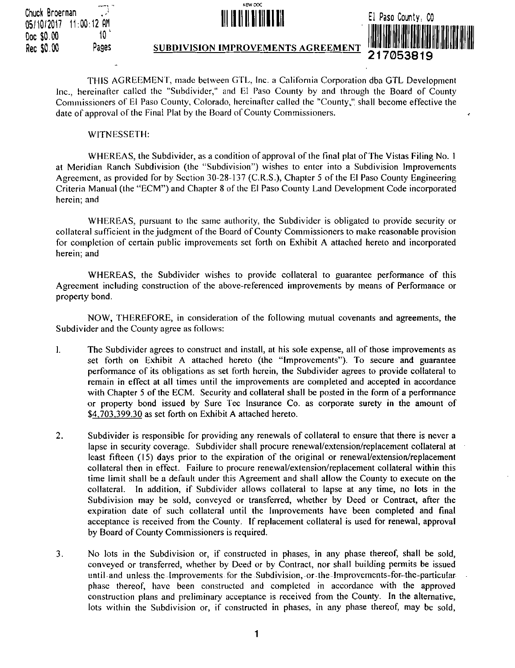**Chuck Broerman 05110/ 2017 11:00.12 AM Doc \$0.00 Rec \$0.00 Pages** ? *r* 101





**SUBDIVISION IMPROVEMENTS AGREEMENT** 217053819

THIS AGREEMENT, made between GTE, Inc. a California Corporation dba GTL Development Inc., hereinafter called the "Subdividcr," and El Paso County by and through the Board of County Commissioners of El Paso County, Colorado, hereinafter called the "County," shall become effective the date of approval of the Final Plat by the Board of County Commissioners.

## WITNESSETH:

WHEREAS, the Subdivider, as a condition of approval of the final plat of The Vistas Filing No. <sup>1</sup> at Meridian Ranch Subdivision (the "Subdivision") wishes to enter into a Subdivision Improvements Agreement, as provided for by Section 30-28-137 (C.R.S.), Chapter 5 of the El Paso County Engineering Criteria Manual (the "ECM") and Chapter 8 of the El Paso County Land Development Code incorporated herein; and

WHEREAS, pursuant to the same authority, the Subdivider is obligated to provide security or collateral sufficient in the judgment of the Board of County Commissioners to make reasonable provision for completion of certain public improvements set forth on Exhibit A attached hereto and incorporated herein; and

WHEREAS, the Subdivider wishes to provide collateral to guarantee performance of this Agreement including construction of the above-referenced improvements by means of Performance or properly bond.

NOW, THEREFORE, in consideration of the following mutual covenants and agreements, the Subdivider and the County agree as follows:

- The Subdivider agrees to construct and install, at his sole expense, all of those improvements as set forth on Exhibit A attached hereto (the "Improvements"). To secure and guarantee performance of its obligations as set forth herein, the Subdivider agrees to provide collateral to remain in effect at all times until the improvements are completed and accepted in accordance with Chapter 5 of the ECM. Security and collateral shall be posted in the form of a performance or property bond issued by Sure Tec Insurance Co. as corporate surety in the amount of \$4,703,399.30 as set forth on Exhibit A attached hereto. **I.**
- Subdivider is responsible for providing any renewals of collateral to ensure that there is never a lapse in security coverage. Subdivider shall procure renewal/extension/replacement collateral at least fifteen (15) days prior to the expiration of the original or renewal/extension/replacement collateral then in effect. Failure to procure renewal/extension/replacement collateral within this time limit shall be a default under this Agreement and shall allow the County to execute on the collateral. In addition, if Subdivider allows collateral to lapse at any time, no lots in the Subdivision may be sold, conveyed or transferred, whether by Deed or Contract, after the expiration date of such collateral until the Improvements have been completed and final acceptance is received from the County. If replacement collateral is used for renewal, approval by Board of County Commissioners is required. **2**.
- No lots in the Subdivision or, if constructed in phases, in any phase thereof, shall be sold, conveyed or transferred, whether by Deed or by Contract, nor shall building permits be issued until and unless the Improvements for the Subdivision, or the Improvements-for-the-particular phase thereof, have been constructed and completed in accordance with the approved construction plans and preliminary acceptance is received from the County. In the alternative, lots within the Subdivision or, if constructed in phases, in any phase thereof, may be sold, 3**.**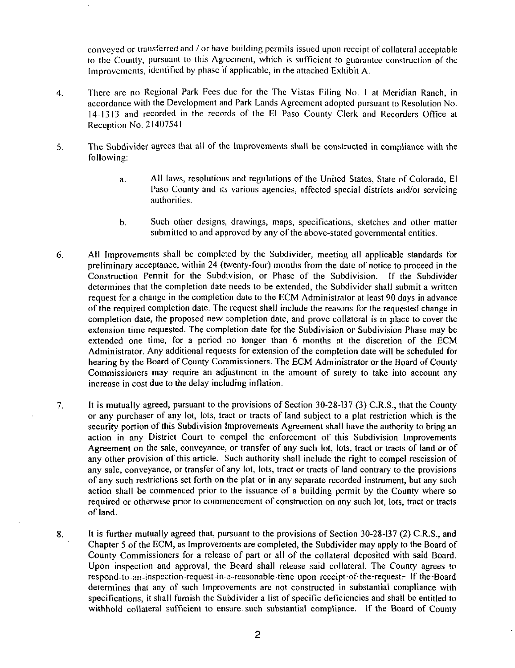conveye<sup>d</sup> or transferred and / or have building permits issued upon receipt of collateral acceptable to the County, pursuant to this Agreement, which is sufficient to guarantee construction of the Improvements, identified by <sup>p</sup>hase if applicable, in the attached Exhibit <sup>A</sup>.

- There are no Regional Park Fees due for the The Vistas Filing No. <sup>I</sup> at Meridian Ranch, in accordance with the Development and Park Lands Agreement adopted pursuant to Resolution No. <sup>14</sup>-<sup>1313</sup> and recorded in the records of the El Paso County Clerk and Recorders Office at Reception No. 21407541 4.
- The Subdivider agrees that all of the Improvements shall be constructed in compliance with the following: 5.
	- All laws, resolutions and regulations of the United States, State of Colorado, El Paso County and its various agencies, affected special districts and/or servicing authorities. a.
	- Such other designs, drawings, maps, specifications, sketches and other matter submitted to and approved by any of the above-stated governmental entities. b.
- All Improvements shall be completed by the Subdivider, meeting all applicable standards for preliminary acceptance, within 24 (twenty-four) months from the date of notice to proceed in the Construction Permit for the Subdivision, or Phase of the Subdivision. If the Subdivider determines that the completion date needs to be extended, the Subdivider shall submit <sup>a</sup> written reques<sup>t</sup> for <sup>a</sup> change in the completion date to the ECM Administrator at least <sup>90</sup> days in advance of the required completion date. The reques<sup>t</sup> shall include the reasons for the requested change in completion date, the proposed new completion date, and prove collateral is in <sup>p</sup>lace to cover the extension time requested. The completion date for the Subdivision or Subdivision Phase may be extended one time, for <sup>a</sup> period no longer than <sup>6</sup> months at the discretion of the ECM Administrator. Any additional requests for extension of the completion date will be scheduled for hearing by the Board of County Commissioners. The ECM Administrator or the Board of County Commissioners may require an adjustment in the amount of surety to take into account any increase in cost due to the delay including inflation. **6.**
- It is mutually agreed, pursuant to the provisions of Section 30-28-<sup>137</sup> (3) C.R.S., that the County or any purchaser of any lot, lots, tract or tracts of land subject to <sup>a</sup> <sup>p</sup>lat restriction which is the security portion of this Subdivision Improvements Agreement shall have the authority to bring an action in any District Court to compe<sup>l</sup> the enforcement of this Subdivision Improvements Agreement on the sale, conveyance, or transfer of any such lot, lots, tract or tracts of land or of any other provision of this article. Such authority shall include the right to compel rescission of any sale, conveyance, or transfer of any lot, lots, tract or tracts of land contrary to the provisions of any such restrictions set forth on the <sup>p</sup>lat or in any separate recorded instrument, but any such action shall be commenced prior to the issuance of <sup>a</sup> building permit by the County where so required or otherwise prior to commencement of construction on any such lot, lots, tract or tracts of land. 7.
- It is further mutually agreed that, pursuant to the provisions of Section 30-28-137 (2) C.R.S., and Chapter 5 of the ECM, as Improvements are completed, the Subdivider may apply to the Board of County Commissioners for <sup>a</sup> release of par<sup>t</sup> or all of the collateral deposited with said Board. Upon inspection and approval, the Board shall release said collateral. The County agrees to respond to an-inspection-request-in-a-reasonable-time-upon-receipt-of-the-request:--If-the-Boarddetermines that any of such Improvements are not constructed in substantial compliance with specifications, it shall furnish the Subdivider <sup>a</sup> list of specific deficiencies and shall be entitled to withhold collateral sufficient to ensure such substantial compliance. If the Board of County **8**.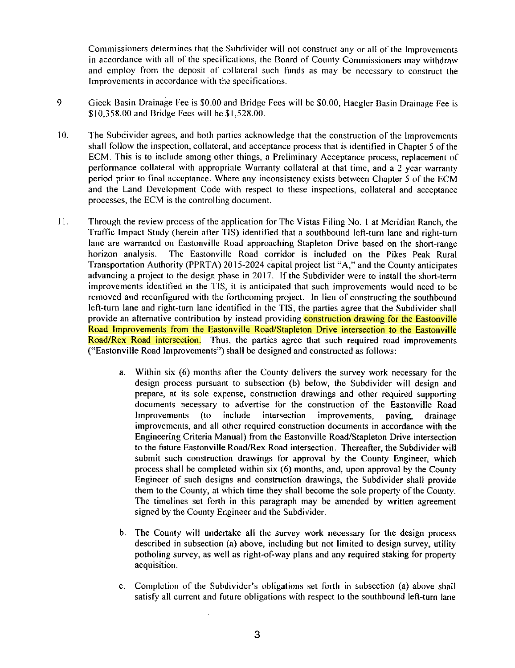Commissioners determines that the Subdivider will not construct any or all of the Improvements in accordance with all of the specifications, the Board of County Commissioners may withdraw and employ from the deposit of collateral such funds as may be necessary to construct the Improvements in accordance with the specifications.

- Gieck Basin Drainage Fee is SO.00 and Bridge Fees will be \$0.00, Haegler Basin Drainage Fee is \$10,358.00 and Bridge Fees will be \$ <sup>1</sup> ,528.00. 9.
- The Subdivider agrees, and both parties acknowledge that the construction of the Improvements shall follow the inspection, collateral, and acceptance process that is identified in Chapter 5 of the ECM. This is to include among other things, a Preliminary Acceptance process, replacement of performance collateral with appropriate Warranty collateral at that time, and a 2 year warranty period prior to Final acceptance. Where any inconsistency exists between Chapter 5 of the ECM and the Land Development Code with respect to these inspections, collateral and acceptance processes, the ECM is the controlling document. 10**.**
- Through the review process of the application for The Vistas Filing No. <sup>I</sup> at Meridian Ranch, the Traffic Impact Study (herein after TIS) identified that a southbound left-turn lane and right-turn lane are warranted on Eastonville Road approaching Stapleton Drive based on the short-range horizon analysis. The Eastonville Road corridor is included on the Pikes Peak Rural The Eastonville Road corridor is included on the Pikes Peak Rural Transportation Authority (PPRTA) 2015-2024 capital project list "A," and the County anticipates advancing a project to the design phase in 2017. If the Subdivider were to install the short-term improvements identified in the TIS, it is anticipated that such improvements would need to be removed and reconfigured with the forthcoming project. In lieu of constructing the southbound left-turn lane and right-turn lane identified in the TIS, the parties agree that the Subdivider shall provide an alternative contribution by instead providing construction drawing for the Eastonville Road Improvements from the Eastonville Road/Stapleton Drive intersection to the Eastonville Road/Rex Road intersection. Thus, the parties agree that such required road improvements ("Eastonville Road Improvements") shall be designed and constructed as follows: **I I .**
	- a. Within six (6) months after the County delivers the survey work necessary for the design process pursuant to subsection (b) below, the Subdivider will design and prepare, at its sole expense, construction drawings and other required supporting documents necessary to advertise for the construction of the Eastonville Road Improvements (to include intersection improvements, paving, drainage improvements, and all other required construction documents in accordance with the Engineering Criteria Manual) from the Eastonville Road/Stapleton Drive intersection to the future Eastonville Road/Rex Road intersection. Thereafter, the Subdivider will submit such construction drawings for approval by the County Engineer, which process shall be completed within six (6) months, and, upon approval by the County Engineer of such designs and construction drawings, the Subdivider shall provide them to the County, at which time they shall become the sole property of the County. The timelines set forth in this paragraph may be amended by written agreement signed by the County Engineer and the Subdivider.
	- b. The County will undertake all the survey work necessary for the design process described in subsection (a) above, including but not limited to design survey, utility potholing survey, as well as right-of-way plans and any required staking for property acquisition.
	- c. Completion of the Subdivider's obligations set forth in subsection (a) above shall satisfy all current and future obligations with respect to the southbound left-turn lane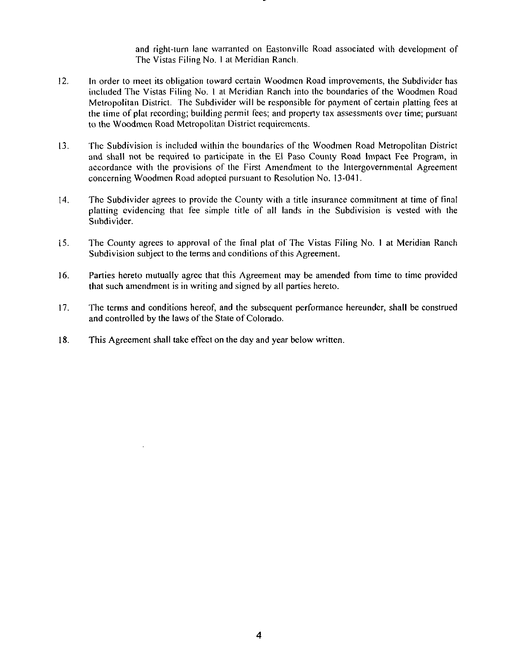and right-lurn lane warranted on Eastonville Road associated with development of The Vistas Filing No. <sup>I</sup> at Meridian Ranch.

- In order to meet its obligation toward certain Woodmen Road improvements, the Subdivider has included The Vistas Filing No. <sup>I</sup> at Meridian Ranch into the boundaries of the Woodmen Road Metropolitan District. The Subdivider will be responsible for payment of certain platting fees at the time of plat recording; building permit fees; and property tax assessments over time; pursuant to the Woodmen Road Metropolitan District requirements. 12**.**
- The Subdivision is included within the boundaries of the Woodmen Road Metropolitan District and shall not be required to participate in the El Paso County Road Impact Fee Program, in accordance with the provisions of the First Amendment to the Intergovernmental Agreement concerning Woodmen Road adopted pursuant to Resolution No. 13-041. 13.
- The Subdivider agrees to provide the County with a title insurance commitment at time of final platting evidencing that fee simple title of all lands in the Subdivision is vested with the Subdivider. 14.
- The County agrees to approval of the final plat of The Vistas Filing No. <sup>1</sup> at Meridian Ranch Subdivision subject to the terms and conditions of this Agreement. 15.
- Parties hereto mutually agree that this Agreement may be amended from time to time provided that such amendment is in writing and signed by all parties hereto. 16.
- The terms and conditions hereof, and the subsequent performance hereunder, shall be construed and controlled by the laws of the State of Colorado. 17.
- 18. This Agreement shall take effect on the day and year below written.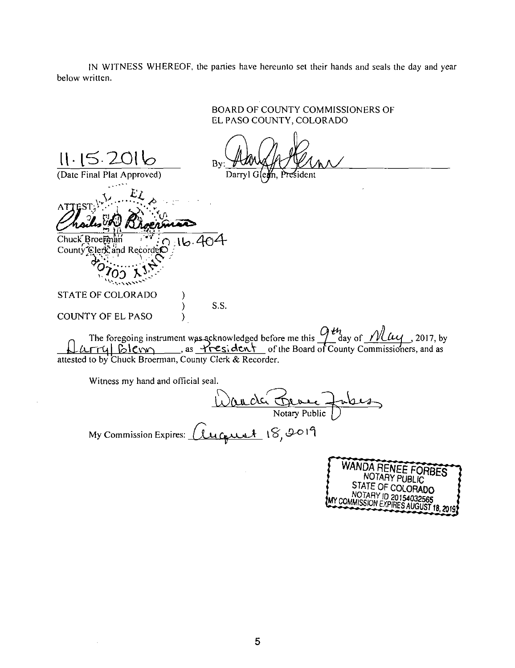IN WITNESS WHEREOF, the parties have hereunto set their hands and seals the day and year below written.

|                                                                             | BOARD OF COUNTY COMMISSIONERS OF<br>EL PASO COUNTY, COLORADO                                                                                                                                    |
|-----------------------------------------------------------------------------|-------------------------------------------------------------------------------------------------------------------------------------------------------------------------------------------------|
| 11.15.2016<br>(Date Final Plat Approved)                                    | By<br>Darryl G<br>ean.                                                                                                                                                                          |
| Chuck Broemhan<br>County Clerk and Recorder                                 |                                                                                                                                                                                                 |
| <b>STATE OF COLORADO</b>                                                    |                                                                                                                                                                                                 |
| <b>COUNTY OF EL PASO</b>                                                    | S.S.                                                                                                                                                                                            |
| $\tau$ rul Blenn<br>attested to by Chuck Broerman, County Clerk & Recorder. | The foregoing instrument was acknowledged before me this $\frac{QH_1}{d}$ day of $\frac{Ml}{d}$ ( $\frac{Ml}{d}$ , 2017, by<br>as <u>President</u> of the Board of County Commissioners, and as |
| Witness my hand and official seal.                                          |                                                                                                                                                                                                 |

Manda Ferre Jubes

 $\hat{\mathcal{A}}$ 

 $\alpha$ 

| WANDA RENEE FORBES<br>NOTARY PUBLIC<br>STATE OF COLORADO        |  |
|-----------------------------------------------------------------|--|
| NOTARY ID 20154032565<br>IMY COMMISSION EXPIRES AUGUST 18, 2019 |  |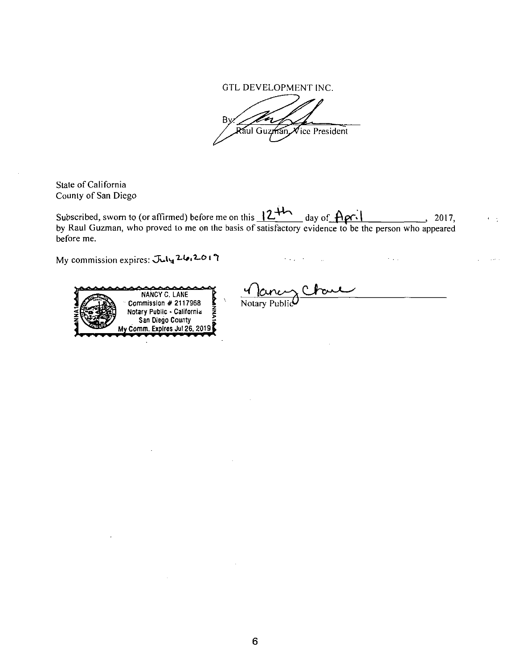GTL DEVELOPMENT INC.

By Raul Guzman,  $\sqrt{ }$ ice President

State of California County of San Diego

Subscribed, sworn to (or affirmed) before me on this  $\frac{2 + 1}{2}$  day of  $\frac{A}{A}$   $\alpha$ . by Raul Guzman, who proved to me on the basis of satisfactory evidence to be the person who appeared before me. **,** <sup>2017</sup>**,**

My commission expires: July 26, 2019

**NANCY C, LANE** *V* **• Commission # 2117968 b**<br> **Notary** Public **•** California **2 2 Sommission # 2117968<br><b>Notary Public - California**<br>San Diego County **glresJul Mv Comm. Ex 26, <sup>20191</sup>** *l*

Notary Public

 $\sim 10^7$ 

 $\cdot$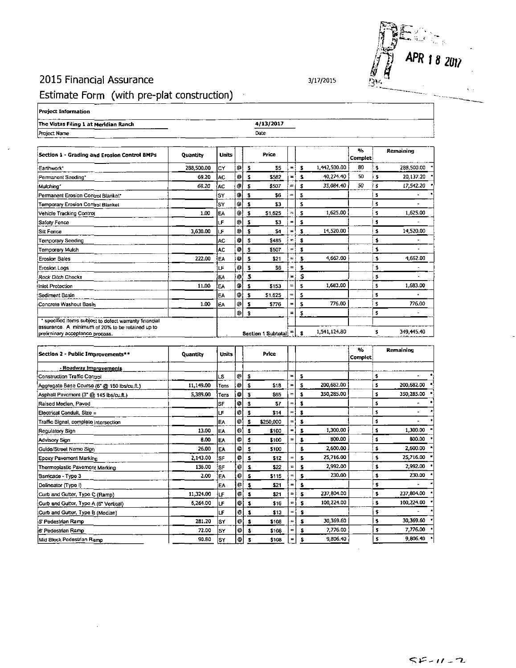

## 2015 Financial Assurance

## 3/17/2015

## Estimate Form (with pre-plat construction)

| <b>Project Information</b>                                                          |            |              |              |    |                    |     |    |              |              |     |            |
|-------------------------------------------------------------------------------------|------------|--------------|--------------|----|--------------------|-----|----|--------------|--------------|-----|------------|
| The Vistas Filing 1 at Meridian Ranch                                               |            |              |              |    | 4/13/2017          |     |    |              |              |     |            |
| Project Name                                                                        |            |              |              |    | Date               |     |    |              |              |     |            |
| Section 1 - Grading and Erosion Control BMPs                                        | Quantity   | <b>Units</b> |              |    | Price              |     |    |              | %<br>Complet |     | Remaining  |
| Earthwork"                                                                          | 288.500.00 | CY           | o            | s  | \$5                | $=$ | s  | 1,442,500.00 | 80           | \$. | 288,500.00 |
| Permanent Seeding*                                                                  | 69.20      | lac          | o            | s  | \$582              | =   | 1  | 40,274.40    | 50           | \$  | 20,137.20  |
| Mutching*                                                                           | 69.20      | AC.          | ¢            | s  | \$507              | =   | S  | 35.084.40    | 50           | \$  | 17,542.20  |
| Permanent Erosion Control Blanket"                                                  |            | SY           | G)           | s. | \$6                | =   | £  |              |              | s   |            |
| Temporary Erosion Control Blankel                                                   |            | 'sY          | o            | \$ | \$3                |     | \$ |              |              | \$  |            |
| Vehicle Tracking Control                                                            | 1.00       | İΕA          | ۰            | S  | \$1.625            | $=$ | s  | 1,625.00     |              | \$  | 1.625.00   |
| Safoty Fence                                                                        |            | LF           | ¢            | \$ | \$3                | =   | \$ |              |              | \$  |            |
| <b>Sill Fence</b>                                                                   | 3,630.00   | ١Ŀ۴          | ◎            |    | \$4                | =   | \$ | 14,520.00    |              | \$  | 14,520.00  |
| <b>Temporary Seeding</b>                                                            |            | <b>AC</b>    | Ø            | ŝ  | \$485              | ÷,  | s  |              |              | \$  |            |
| Temporary Mulch                                                                     |            | <b>AC</b>    | Õ            | \$ | \$507              | $=$ | S  |              |              | \$  |            |
| <b>Erosion Bales</b>                                                                | 222.00     | EA           | ¢            | s  | \$21               | =   | \$ | 4,662.00     |              | \$  | 4,662.00   |
| Erosion Logs                                                                        |            | LF           | ⊚            |    | \$6                | =   | s  |              |              | \$  |            |
| Rock Ditch Checks                                                                   |            | EА           | $\mathbf{0}$ | \$ |                    | $=$ | \$ |              |              | \$  |            |
| <b>Inlet Protection</b>                                                             | 11.00      | lЕA          | ۰            | \$ | \$153              | ≃   | \$ | 1,583.00     |              | \$  | 1,683.00   |
| Sediment Basin                                                                      |            | EA           | ۰            | \$ | \$1,625            | =   | \$ |              |              | \$  |            |
| Concrote Washout Basin                                                              | 1.00       | lEA.         | ¢            | \$ | \$776              | $=$ | s  | 776.00       |              | \$  | 776.00     |
|                                                                                     |            |              | Ф            |    |                    | Ξ   | \$ |              |              | \$  |            |
| * specified items subject to defect warranty financial                              |            |              |              |    |                    |     |    |              |              |     |            |
| assurance. A minimum of 20% to be retained up to<br>preliminary acceptance process. |            |              |              |    | Section 1 Subtotal | 큰   | s  | 1,541,124.80 |              | s   | 349.445.40 |

| Section 2 - Public Improvements**           | Quantity  | Units     |           |    | Price     |          |    |            | %<br><b>Complet</b> |     | Remaining  |
|---------------------------------------------|-----------|-----------|-----------|----|-----------|----------|----|------------|---------------------|-----|------------|
| Roadway Improvements                        |           |           |           |    |           |          |    |            |                     |     |            |
| Construction Traffic Control                |           | lls       | o         | s  |           | $=$      | s  |            |                     | \$  |            |
| Aggregate Base Course (6" @ 150 lbs/cu.ft.) | 11,149.00 | Tons      |           | 5  | \$18      | =        | ŝ  | 200,682.00 |                     | \$  | 200,682.00 |
| Asphalt Pavement (3" @ 145 lbs/cu.ft.)      | 5,389.00  | Tons      | Ф         | s  | \$65      | =        |    | 350,285.00 |                     | \$  | 350,285.00 |
| Raised Modian, Pavod                        |           | <b>SF</b> | ٥         | S  | 57        | $=$      |    |            |                     | \$  |            |
| Electrical Conduit, Size =                  |           | LF        | ø۱        | s  | \$14      | - 1      | £. |            |                     | \$  |            |
| Traffic Signal, complete intersection       |           | lΕ۸       | ٥ļ        | s  | \$250,000 | ≃        | S  |            |                     | \$  |            |
| Regulatory Sign                             | 13.00     | İΕA       | $\circ$   | s  | \$100     | =        | 5  | 1,300.00   |                     | \$  | 1,300.00   |
| Advisory Sign                               | 0.00      | lЕA       | Φ         | s  | \$100     | ≃        |    | 800.00     |                     | \$  | 800.00     |
| Guldo/Stroet Name Sipn                      | 26.00     | EA        | ۰         |    | \$100     |          | S  | 2,600.00   |                     | \$  | 2,600.00   |
| <b>Epoxy Pavement Marking</b>               | 2,143.00  | !sF       | ۰         | \$ | \$12      | $=$      | s  | 25,716.00  |                     | \$. | 25,716.00  |
| Thormoplastic Pavemont Marking              | 136.00    | ISF       | ٥         | s  | \$22      | Ξ        |    | 2,992.00   |                     | \$  | 2,992.00   |
| Barricado - Type 3                          | 2.00      | ١E٨       | $\bullet$ | s  | \$115     |          |    | 230.00     |                     | \$  | 230.00     |
| Delineator (Type I)                         |           | lE.       | @۱        |    | \$21      | =        | s  |            |                     | \$  |            |
| Curb and Gutter, Type C (Ramp)              | 11,324.00 | łЦF       | ø۱        | \$ | \$21      | $\equiv$ | s  | 237,604.00 |                     | \$  | 237,804.00 |
| Curb and Gutter, Type A (6" Vortical)       | 6,264.00  | luF.      | اہ        | s  | \$16      | u,       |    | 100,224.00 |                     | \$  | 100,224.00 |
| Curb and Gutter, Type B (Median)            |           | ١F        | @]        | s  | \$13      | =        |    |            |                     | \$  |            |
| 5' Pedestrian Ramp                          | 281.20    | ls۲       | ø۱        | \$ | \$108     | =        | s  | 30,369.60  |                     | \$  | 30,369.60  |
| 6 Pedestrian Ramp                           | 72.00     | lsv       | ۰         | s  | \$108     | =        | £  | 7,776.00   |                     | \$  | 7,776.00   |
| Mid Block Pedastrian Ramo                   | 90.80     | lsy       | ۰         | s  | \$108     | =        |    | 9,806.40   |                     | \$  | 9,806.40   |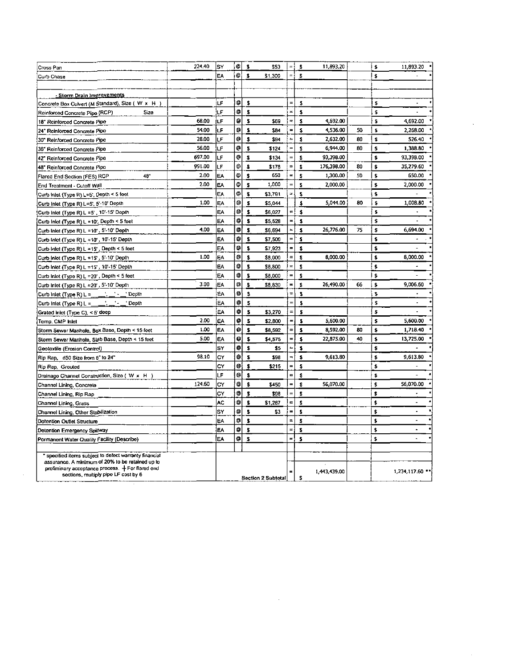| Cross Pan                                                                                                  | 224.40 | ls٧       | ©  | \$ | \$53               |                | ŝ                    | 11,893.20    |    | \$                       | 11,893.20       |
|------------------------------------------------------------------------------------------------------------|--------|-----------|----|----|--------------------|----------------|----------------------|--------------|----|--------------------------|-----------------|
| Curb Chase                                                                                                 |        | ΈΑ        | ۰  | \$ | \$1,300            |                | \$                   |              |    | \$                       |                 |
|                                                                                                            |        |           |    |    |                    |                |                      |              |    |                          |                 |
| - Storm Drain Improvements                                                                                 |        |           |    |    |                    |                |                      |              |    |                          |                 |
| Concrete Box Culvert (M Standard), Size (W x H )                                                           |        | ΙLΕ       | Ф  | \$ |                    | $\equiv$       | s                    |              |    | \$                       | $\blacksquare$  |
| Size<br>Reinforced Concrete Pipe (RCP)                                                                     |        | ١LF       | ¢  | \$ |                    |                | s                    |              |    | \$                       |                 |
| 18" Reinforced Concrete Pipe                                                                               | 68.00  | LF        | ⊜  | z  | \$69               | $=$            | s                    | 4,692.00     |    | s                        | 4.692.00        |
| 24° Reinforced Concrete Pipe                                                                               | 54.00  | ΙLΕ       | o  | \$ | \$04               | =              | \$                   | 4,536.00     | 50 | s                        | 2 268.00        |
| 30" Reinforced Concrete Pipe                                                                               | 28.00  | LF        | ⊕  | s  | \$94               | $\equiv$       | s                    | 2,632.00     | 80 | \$                       | 526.40          |
| 36" Reinforced Concrete Pipe                                                                               | 56.00  | LF        | ø  | \$ | \$124              |                | s                    | 6,944.00     | 80 | \$                       | 1,388.80        |
| 42" Reinforced Concrete Pipe                                                                               | 697.00 | LF        | ¢  | 2  | \$134              | $=$            | s                    | 93,398.00    |    | \$                       | 93,398.00       |
| 48" Reinforced Concrete Pipo                                                                               | 991.00 | LF        | ⊚  | s  | \$178              |                | \$                   | 176,398.00   | 80 | \$                       | 35,279.60       |
| 48*<br>Flared End Section (FES) RCP                                                                        | 2.00   | EA        | ٥  | s  | 650                | $\equiv$       | \$                   | 1,300.00     | 50 | \$                       | 650.00          |
| End Treatment - Cutoff Wall                                                                                | 2.00   | EA.       | ⊚  | s  | 1,000              |                | \$                   | 2,000.00     |    | \$                       | 2,000.00        |
| Curb Inlet (Type R) L=5, Depth < 5 feet                                                                    |        | EA        | ø  | 2  | \$3,791            |                | $\mathbf{S}$         |              |    | \$                       |                 |
| Curb Inlet (Type R) L=5, 5-10 Depth                                                                        | 1.00   | EA        | ۵  | s  | \$5,044            |                | \$                   | 5,044.00     | 80 | \$                       | 1,008.80        |
| Curb Inlet (Type R) L =5' , <mark>10'-15'</mark> Depth                                                     |        | EA        | ⊚  | \$ | \$6,027            | r.             | \$                   |              |    | s                        |                 |
| Curb Inlet (Type R) L =10', Depth < 5 feet                                                                 |        | EA        | ۰  | s  | \$5,528            |                | 3                    |              |    | \$                       | ÷,              |
| Curb Inlet (Type R) L =10' 5'-10' Depth                                                                    | 4.00   | EA        | ø  | \$ | \$6,694            |                | \$                   | 26,776.00    | 75 | \$                       | 6,694.00        |
| Curb Inlet (Type R) L = 10' 10' 15' Depth                                                                  |        | EA        | ø  | \$ | \$7,500            |                | s                    |              |    | ś                        |                 |
| Curb Inlet (Type R) L = 15' Depth < 5 feet                                                                 |        | EA        | ø  | \$ | \$7,923            | =              | \$                   |              |    | \$                       |                 |
| Curb Inlet (Type R) L =15', 5'-10' Depth                                                                   | 1.00   | EA        | Ф  | \$ | \$8,000            | $=$            | S                    | 8.000.00     |    | \$                       | 8,000.00        |
| Curb Inlet (Type R) L =15' 10'-15' Dopth                                                                   |        | EA        | ø  | \$ | \$8,800            |                | s                    |              |    | \$                       |                 |
| Curb Inlet (Type R) L =20" , Dopth < 5 feet                                                                |        | EA        | Θ  | s  | \$8,000            |                | s                    |              |    | \$                       |                 |
| [Curb Inlet (Type R) L =20' , 5'-10' Depth                                                                 | 3.00   | E٨        | ¢  | s  | \$8,830            | =              | \$                   | 26,490.00    | 66 | \$                       | 9,006.60        |
| $\mathcal{F}_\text{max}$ and $\mathcal{F}_\text{max}$<br>' Depth<br>Curb Inlet (Type R) L =                |        | ËА        | ⊕  | s. |                    |                | \$                   |              |    | $\overline{\phantom{a}}$ | $\bullet$       |
| . Depth<br>Curb Inlet (Type R) L =                                                                         |        | EA        | ø  | \$ |                    |                | s                    |              |    | \$                       |                 |
| Grated Inlet (Type C), < 5' deep                                                                           |        | EA        | ê  | s  | \$3,270            |                | s                    |              |    | \$                       |                 |
| Temp. CMP Inlet                                                                                            | 2.00   | EA        | ¢  | s  | \$2,800            | =              | \$                   | 5,600.00     |    | \$                       | 5,600.00        |
| Storm Sewer Manhole, Box Base, Dopth < 15 feet                                                             | 1.00   | EA        | ۰  | \$ | \$8,592            |                | \$                   | 8,592.00     | 80 | \$                       | 1,718.40        |
| Storm Sewer Manhole, Slab Baso, Depth < 15 feet                                                            | 5.00   | EA        | o  | s  | \$4,575            |                | 5                    | 22,875.00    | 40 | \$                       | 13,725.00       |
| Geotoxtile (Erosion Control)                                                                               |        | SY        | ø  | s  | \$5                | 5              | s                    |              |    | s                        |                 |
| Rip Rap, d50 Size from 6" to 24"                                                                           | 98.10  | C٧        | ۰  | \$ | \$98               |                | s                    | 9,613.80     |    | \$                       | 9.613.80        |
| Rip Rap, Grouted                                                                                           |        | C٧        | ۰ı | \$ | \$215              | $\equiv$       | s                    |              |    | Ś                        | ٠               |
| Drainage Channel Construction, Sizo (W x H)                                                                |        | LF        | ۵  | s  |                    | $\blacksquare$ | s                    |              |    | \$                       |                 |
| Channel Lining, Concrete                                                                                   | 121.60 | C٢        | ¢  | \$ | \$450              |                | \$                   | 56,070.00    |    | \$                       | 56,070.00       |
| Channel Lining, Rip Rap                                                                                    |        | c۷        | ۰  | \$ | \$98               |                | s                    |              |    | \$                       |                 |
| Channel Lining, Grass                                                                                      |        | <b>AC</b> | ۰  | \$ | \$1,287            | $\blacksquare$ | $\sqrt{2}$           |              |    | \$                       |                 |
| Channel Lining, Other Stabilization                                                                        |        | SY        | e  | s  | 53                 |                | s                    |              |    | \$                       | $\blacksquare$  |
| Datention Outlet Structure                                                                                 |        | EA        | ¢  | \$ |                    | ×.             | \$                   |              |    | \$                       |                 |
| Detention Emergency Spillway                                                                               |        | EA        | Θ  | s  |                    |                | s                    |              |    | \$                       | $\Delta$        |
| Pormanent Water Quality Facility (Describe)                                                                |        | EA        | o  | \$ |                    | $=$            | $\ddot{\phantom{0}}$ |              |    | $\ddot{\bullet}$         |                 |
|                                                                                                            |        |           |    |    |                    |                |                      |              |    |                          |                 |
| * specified items subject to defect warranty financial<br>assurance. A minimum of 20% to be retained up to |        |           |    |    |                    |                |                      |              |    |                          |                 |
| preliminary acceptance process. + For flared end                                                           |        |           |    |    |                    |                |                      | 1,443,439.00 |    |                          | 1,234,117.60 ** |
| sections, multiply pipe LF cost by 6                                                                       |        |           |    |    | Section 2 Subtotal |                | ÷.                   |              |    |                          |                 |

 $\mathcal{L}(\mathcal{L}^{\mathcal{L}})$  and  $\mathcal{L}(\mathcal{L}^{\mathcal{L}})$  and  $\mathcal{L}(\mathcal{L}^{\mathcal{L}})$ 

 $\sim$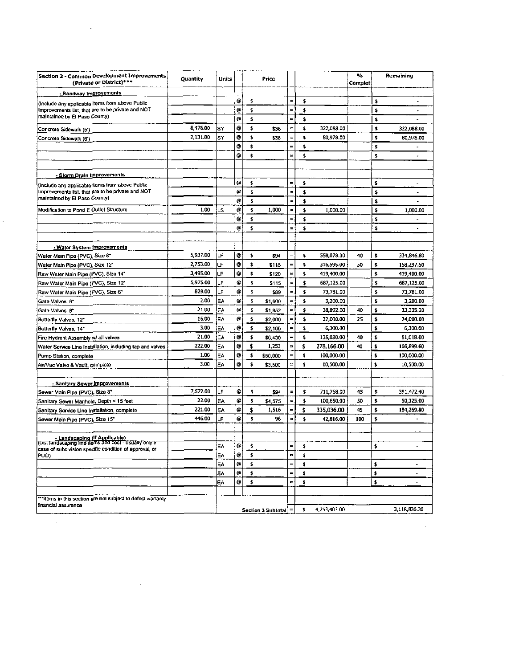| Section 3 - Common Development Improvements<br>(Private or District)***                                           | Quantity | Units |           |                  | Price                |                |             |              | $\gamma_0$<br>Complet |                       | Remaining      |
|-------------------------------------------------------------------------------------------------------------------|----------|-------|-----------|------------------|----------------------|----------------|-------------|--------------|-----------------------|-----------------------|----------------|
| - Roadway Improvements                                                                                            |          |       |           |                  |                      |                |             |              |                       |                       |                |
| (Include any applicable items from above Public                                                                   |          |       | $\bullet$ | \$               |                      |                | \$          |              |                       | \$                    |                |
| Improvements list, that are to be private and NOT                                                                 |          |       | ø         | \$               |                      |                | \$          |              |                       | \$                    | ÷              |
| maintained by El Paso County)                                                                                     |          |       | o         | \$               |                      | ÷              | \$          |              |                       | \$                    |                |
| Concrete Sidewalk (5')                                                                                            | 8,476.00 | SY    | ⊚         | \$               | \$38                 | $\equiv$       | \$          | 322,088.00   |                       | \$                    | 322,088.00     |
| Concrete Sidewalk (6")                                                                                            | 2,131.00 | S٢    | o         | \$               | \$38                 | $\equiv$       | \$          | 80,978.00    |                       | \$                    | 80,978.00      |
|                                                                                                                   |          |       | o         | \$               |                      |                | \$          |              |                       | \$                    |                |
|                                                                                                                   |          |       | ۵         | \$               |                      | $\equiv$       | \$          |              |                       | \$                    | ٠              |
| - Storm Drain Improvements                                                                                        |          |       |           |                  |                      |                |             |              |                       |                       |                |
| (Include any applicable items from above Public                                                                   |          |       | Θ         | \$               |                      | $\equiv$       | \$          |              |                       | \$                    | $\blacksquare$ |
| Improvements list, that are to be private and NOT                                                                 |          |       | Ô         | \$               |                      | $\equiv$       | \$          |              |                       | \$                    | $\sim$         |
| maintained by El Paso County)                                                                                     |          |       | ۰         | \$               |                      | $\equiv$       | \$          |              |                       | Ś                     | $\cdot$        |
| Modification to Pond E Outlet Structure                                                                           | 1.00     | LS    | ⊚         | $\ddot{\bullet}$ | 1,000                | $=$            | \$          | 1,000.00     |                       | \$                    | 1,000.00       |
|                                                                                                                   |          |       | o         | \$               |                      | ÷.             | \$          |              |                       | \$                    |                |
|                                                                                                                   |          |       | ⊚         | \$               |                      |                | \$          |              |                       | s                     | $\blacksquare$ |
|                                                                                                                   |          |       |           |                  |                      |                |             |              |                       |                       |                |
| - Water System Improvements                                                                                       |          |       |           |                  |                      |                |             |              |                       |                       |                |
| Water Main Pipo (PVC), Size 8"                                                                                    | 5,937.00 | LF    | ٥         | \$               | \$94                 |                | \$          | 558,078.00   | 40                    | \$                    | 334,846.80     |
| Water Main Pipe (PVC), Size 12*                                                                                   | 2,753.00 | LF    | Q         | \$               | \$115                | $=$            | \$          | 316,595.00   | 50                    | $\bullet$             | 158,297.50     |
| Raw Water Main Pipe (PVC), Size 14"                                                                               | 3,495.00 | LF    | ø         | \$               | \$120                | $\equiv$       | \$          | 419,400.00   |                       | \$                    | 419,400.00     |
| Raw Wator Main Pipe (PVC), Size 12"                                                                               | 5,975.00 | LF    | Φ         | \$               | \$115                | Ξ              | \$          | 687,125.00   |                       | \$                    | 687,125.00     |
| Raw Water Main Pipe (PVC), Size 6"                                                                                | 829.00   | LF    | Ф         | \$               | \$89                 | $\equiv$       | \$          | 73,781.00    |                       | s                     | 73,781.00      |
| Gate Valvos, 61                                                                                                   | 2.00     | EA    | ø         | \$               | \$1,600              |                | \$          | 3,200.00     |                       | Ś                     | 3,200.00       |
| Gate Valves, 8"                                                                                                   | 21.00    | EA    | Ó         | \$               | \$1,852              | E              | \$          | 38,892.00    | 40                    | ś                     | 23,335.20      |
| Buttorfly Valves, 12                                                                                              | 16.00    | ΕA    | ⊚         | \$               | \$2,000              | =              | \$          | 32,000.00    | 25                    | \$                    | 24,000.00      |
| Butterfly Valves, 14"                                                                                             | 3.00     | EA    | ø         | \$               | \$2,100              | $\equiv$       | \$          | 6,300.00     |                       | \$                    | 6,300.00       |
| Fire Hydront Assembly w/ all valves                                                                               | 21.00    | Ľ٨    | o         | \$               | \$6,400              | ÷              | \$          | 135,030.00   | 40                    | \$                    | 81,019.00      |
| Water Service Line Installation, including tap and valves                                                         | 222.00   | EA    | o         | \$               | 1,253                | $\equiv$       | \$          | 278,166.00   | 40                    | \$                    | 166,899.60     |
| Pump Station, complete                                                                                            | 1.00     | EA    | ø         | \$               | \$50,000             | $=$            | \$          | 100,000.00   |                       | \$                    | 100,000.00     |
| Air/Vac Valve & Vault, complete                                                                                   | 3.00     | EΑ    | Ф         | \$               | \$3,500              |                | \$          | 10,500.00    |                       | $\blacktriangleleft$  | 10.500.00      |
| - Sanitary Sower Improvements                                                                                     |          |       |           |                  |                      |                |             |              |                       |                       |                |
| Sewer Main Pipe (PVC), Size 8"                                                                                    | 7,572.00 | LF    | ⊚         | \$               | \$94                 | $\equiv$       | \$          | 711,768.00   | 45                    | \$                    | 391,472.40     |
| Sanitary Sewer Manhole, Depth < 15 feet                                                                           | 22.00    | EA    | ø         | \$               | \$4,575              | $\equiv$       | \$          | 100,650.00   | 50                    | $\blacktriangleright$ | 50,325.00      |
| Sanitary Service Line Installation, complete                                                                      | 221.00   | ĘΑ    | ø         | \$               | 1,516                | $\equiv$       | \$          | 335,036.00   | 45                    | $\bullet$             | 184,269.80     |
| Sewer Main Pipe (PVC), Size 15"                                                                                   | 446.00   | LF    | ø         | \$               | 96                   | o              | \$          | 42,816.00    | 100                   | $\ddot{\bullet}$      |                |
|                                                                                                                   |          |       |           |                  |                      |                |             |              |                       |                       |                |
| - Landscaping (If Applicable)                                                                                     |          |       |           |                  |                      |                |             |              |                       |                       |                |
| (List landscaping line items and cost - usually only in<br>case of subdivision specific condition of approval, or |          | ËA    | o         | \$               |                      | $\equiv$       | \$          |              |                       | \$                    |                |
| PUD)                                                                                                              |          | EA    | ø         | \$               |                      | $\blacksquare$ | \$          |              |                       |                       |                |
|                                                                                                                   |          | ЕA    | ø         | \$               |                      | $=$            | \$          |              |                       | \$                    | ä,             |
|                                                                                                                   |          | Ę٨    | e         | \$               |                      | -              | \$          |              |                       | \$                    |                |
|                                                                                                                   |          | EA    | o         | \$               |                      | ь              | \$          |              |                       | \$                    | ä,             |
|                                                                                                                   |          |       |           |                  |                      |                |             |              |                       |                       |                |
| ""items in this section are not subject to defect warranty<br>financial assurance                                 |          |       |           |                  |                      |                |             |              |                       |                       |                |
|                                                                                                                   |          |       |           |                  | Section 3 Subtotal = |                | $\clubsuit$ | 4,253,403.00 |                       |                       | 3,118,836.30   |

 $\mathcal{A}^{(1)}$ 

 $\mathcal{L}^{\text{max}}_{\text{max}}$  and  $\mathcal{L}^{\text{max}}_{\text{max}}$ 

 $\mathcal{L}^{\text{max}}_{\text{max}}$  and  $\mathcal{L}^{\text{max}}_{\text{max}}$ 

 $\label{eq:2.1} \frac{1}{2} \sum_{i=1}^n \frac{1}{2} \sum_{j=1}^n \frac{1}{2} \sum_{j=1}^n \frac{1}{2} \sum_{j=1}^n \frac{1}{2} \sum_{j=1}^n \frac{1}{2} \sum_{j=1}^n \frac{1}{2} \sum_{j=1}^n \frac{1}{2} \sum_{j=1}^n \frac{1}{2} \sum_{j=1}^n \frac{1}{2} \sum_{j=1}^n \frac{1}{2} \sum_{j=1}^n \frac{1}{2} \sum_{j=1}^n \frac{1}{2} \sum_{j=1}^n \frac{$ 

 $\frac{1}{\sqrt{2}}$